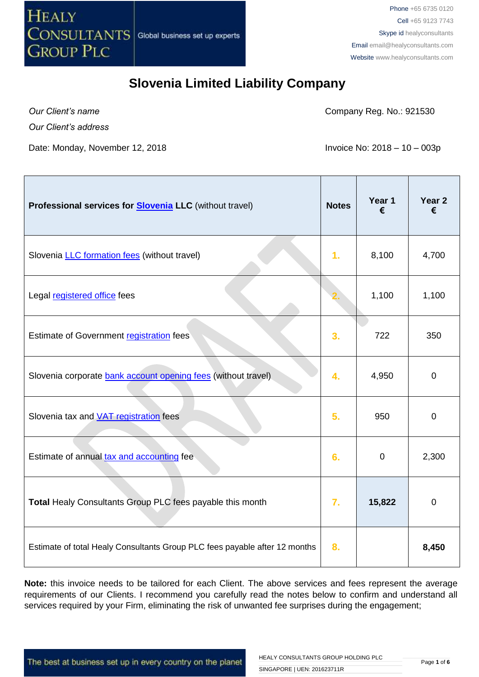

*Our Client's name*

Company Reg. No.: 921530

*Our Client's address*

Date: Monday, November 12, 2018 **Invoice No: 2018 – 10 – 003p** 

| Professional services for <b>Slovenia LLC</b> (without travel)             | <b>Notes</b>   | Year 1<br>€ | Year <sub>2</sub><br>€ |
|----------------------------------------------------------------------------|----------------|-------------|------------------------|
| Slovenia <b>LLC</b> formation fees (without travel)                        | 1 <sub>r</sub> | 8,100       | 4,700                  |
| Legal registered office fees                                               |                | 1,100       | 1,100                  |
| Estimate of Government registration fees                                   | 3.             | 722         | 350                    |
| Slovenia corporate bank account opening fees (without travel)              | 4.             | 4,950       | $\mathbf 0$            |
| Slovenia tax and <b>VAT</b> registration fees                              | 5.             | 950         | $\mathbf 0$            |
| Estimate of annual tax and accounting fee                                  | 6.             | 0           | 2,300                  |
| Total Healy Consultants Group PLC fees payable this month                  | 7.             | 15,822      | 0                      |
| Estimate of total Healy Consultants Group PLC fees payable after 12 months | 8.             |             | 8,450                  |

**Note:** this invoice needs to be tailored for each Client. The above services and fees represent the average requirements of our Clients. I recommend you carefully read the notes below to confirm and understand all services required by your Firm, eliminating the risk of unwanted fee surprises during the engagement;

The best at business set up in every country on the planet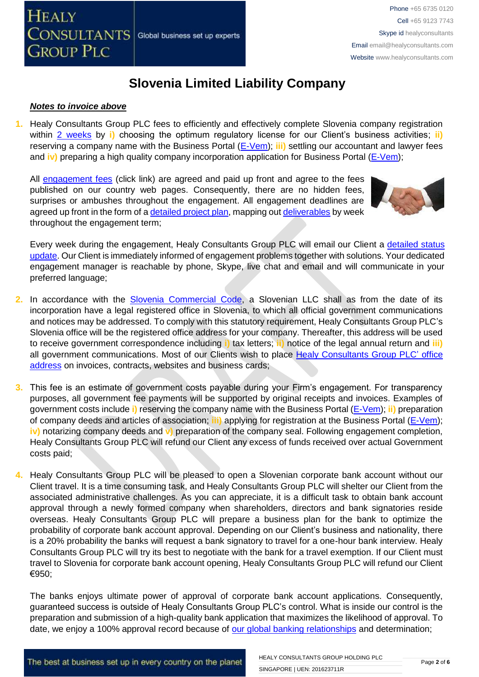#### *Notes to invoice above*

**1.** Healy Consultants Group PLC fees to efficiently and effectively complete Slovenia company registration within [2 weeks](http://www.healyconsultants.com/slovenia-company-registration/fees-timelines/#timelines) by *i*) choosing the optimum regulatory license for our Client's business activities; *ii*) reserving a company name with the Business Portal [\(E-Vem\)](http://evem.gov.si/evem/drzavljani/zacetna.evem); **iii)** settling our accountant and lawyer fees and **iv)** preparing a high quality company incorporation application for Business Portal [\(E-Vem\)](http://evem.gov.si/evem/drzavljani/zacetna.evem);

All [engagement fees](http://www.healyconsultants.com/company-registration-fees/) (click link) are agreed and paid up front and agree to the fees published on our country web pages. Consequently, there are no hidden fees, surprises or ambushes throughout the engagement. All engagement deadlines are agreed up front in the form of [a detailed project plan,](http://www.healyconsultants.com/index-important-links/example-project-plan/) mapping out [deliverables](http://www.healyconsultants.com/deliverables-to-our-clients/) by week throughout the engagement term;



Every week during the engagement, Healy Consultants Group PLC will email our Client a [detailed status](http://www.healyconsultants.com/index-important-links/weekly-engagement-status-email/)  [update.](http://www.healyconsultants.com/index-important-links/weekly-engagement-status-email/) Our Client is immediately informed of engagement problems together with solutions. Your dedicated engagement manager is reachable by phone, Skype, live chat and email and will communicate in your preferred language;

- **2.** In accordance with the [Slovenia Commercial Code,](http://poslovniportal.si/Doing_Business_Slovenia.php) a Slovenian LLC shall as from the date of its incorporation have a legal registered office in Slovenia, to which all official government communications and notices may be addressed. To comply with this statutory requirement, Healy Consultants Group PLC's Slovenia office will be the registered office address for your company. Thereafter, this address will be used to receive government correspondence including **i)** tax letters; **ii)** notice of the legal annual return and **iii)**  all government communications. Most of our Clients wish to place [Healy Consultants Group PLC'](http://www.healyconsultants.com/corporate-outsourcing-services/company-secretary-and-legal-registered-office/) office [address](http://www.healyconsultants.com/corporate-outsourcing-services/company-secretary-and-legal-registered-office/) on invoices, contracts, websites and business cards;
- **3.** This fee is an estimate of government costs payable during your Firm's engagement. For transparency purposes, all government fee payments will be supported by original receipts and invoices. Examples of government costs include **i)** reserving the company name with the Business Portal [\(E-Vem\)](http://evem.gov.si/evem/drzavljani/zacetna.evem); **ii)** preparation of company deeds and articles of association; **iii)** applying for registration at the Business Portal [\(E-Vem\)](http://evem.gov.si/evem/drzavljani/zacetna.evem); **iv)** notarizing company deeds and **v)** preparation of the company seal. Following engagement completion, Healy Consultants Group PLC will refund our Client any excess of funds received over actual Government costs paid;
- **4.** Healy Consultants Group PLC will be pleased to open a Slovenian corporate bank account without our Client travel. It is a time consuming task, and Healy Consultants Group PLC will shelter our Client from the associated administrative challenges. As you can appreciate, it is a difficult task to obtain bank account approval through a newly formed company when shareholders, directors and bank signatories reside overseas. Healy Consultants Group PLC will prepare a business plan for the bank to optimize the probability of corporate bank account approval. Depending on our Client's business and nationality, there is a 20% probability the banks will request a bank signatory to travel for a one-hour bank interview. Healy Consultants Group PLC will try its best to negotiate with the bank for a travel exemption. If our Client must travel to Slovenia for corporate bank account opening, Healy Consultants Group PLC will refund our Client €950;

The banks enjoys ultimate power of approval of corporate bank account applications. Consequently, guaranteed success is outside of Healy Consultants Group PLC's control. What is inside our control is the preparation and submission of a high-quality bank application that maximizes the likelihood of approval. To date, we enjoy a 100% approval record because of [our global banking relationships](http://www.healyconsultants.com/international-banking/corporate-accounts/) and determination;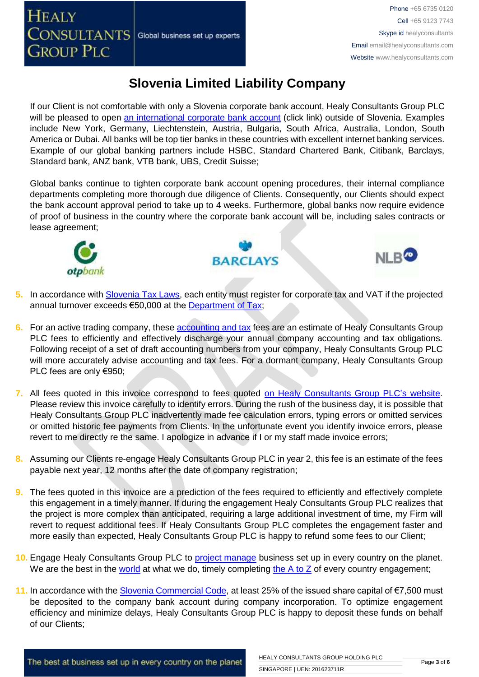If our Client is not comfortable with only a Slovenia corporate bank account, Healy Consultants Group PLC will be pleased to open [an international corporate bank account](http://www.healyconsultants.com/international-banking/) (click link) outside of Slovenia. Examples include New York, Germany, Liechtenstein, Austria, Bulgaria, South Africa, Australia, London, South America or Dubai. All banks will be top tier banks in these countries with excellent internet banking services. Example of our global banking partners include HSBC, Standard Chartered Bank, Citibank, Barclays, Standard bank, ANZ bank, VTB bank, UBS, Credit Suisse;

Global banks continue to tighten corporate bank account opening procedures, their internal compliance departments completing more thorough due diligence of Clients. Consequently, our Clients should expect the bank account approval period to take up to 4 weeks. Furthermore, global banks now require evidence of proof of business in the country where the corporate bank account will be, including sales contracts or lease agreement;



# **BARCLAYS**



- **5.** In accordance with [Slovenia Tax Laws,](http://www.mf.gov.si/fileadmin/mf.gov.si/pageuploads/Davki_in_carine/Angle%C5%A1ki/Taxation_in_Slovenia_2013.pdf) each entity must register for corporate tax and VAT if the projected annual turnover exceeds €50,000 at the [Department of Tax;](http://www.fu.gov.si/)
- **6.** For an active trading company, thes[e accounting and tax](http://www.healyconsultants.com/slovenia-company-registration/accounting-legal/) fees are an estimate of Healy Consultants Group PLC fees to efficiently and effectively discharge your annual company accounting and tax obligations. Following receipt of a set of draft accounting numbers from your company, Healy Consultants Group PLC will more accurately advise accounting and tax fees. For a dormant company, Healy Consultants Group PLC fees are only €950;
- **7.** All fees quoted in this invoice correspond to fees quoted [on Healy Consultants Group PLC's](http://www.healyconsultants.com/company-registration-fees/) website. Please review this invoice carefully to identify errors. During the rush of the business day, it is possible that Healy Consultants Group PLC inadvertently made fee calculation errors, typing errors or omitted services or omitted historic fee payments from Clients. In the unfortunate event you identify invoice errors, please revert to me directly re the same. I apologize in advance if I or my staff made invoice errors;
- **8.** Assuming our Clients re-engage Healy Consultants Group PLC in year 2, this fee is an estimate of the fees payable next year, 12 months after the date of company registration;
- **9.** The fees quoted in this invoice are a prediction of the fees required to efficiently and effectively complete this engagement in a timely manner. If during the engagement Healy Consultants Group PLC realizes that the project is more complex than anticipated, requiring a large additional investment of time, my Firm will revert to request additional fees. If Healy Consultants Group PLC completes the engagement faster and more easily than expected, Healy Consultants Group PLC is happy to refund some fees to our Client;
- 10. Engage Healy Consultants Group PLC to **project manage** business set up in every country on the planet. We are the best in the [world](http://www.healyconsultants.com/best-in-the-world/) at what we do, timely completing the  $A$  to  $Z$  of every country engagement;
- **11.** In accordance with the [Slovenia Commercial Code,](http://poslovniportal.si/Doing_Business_Slovenia.php) at least 25% of the issued share capital of €7,500 must be deposited to the company bank account during company incorporation. To optimize engagement efficiency and minimize delays, Healy Consultants Group PLC is happy to deposit these funds on behalf of our Clients;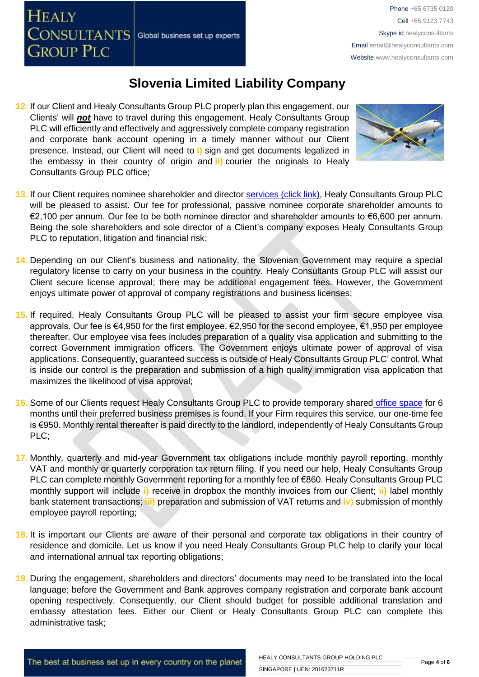**12.** If our Client and Healy Consultants Group PLC properly plan this engagement, our Clients' will *not* have to travel during this engagement. Healy Consultants Group PLC will efficiently and effectively and aggressively complete company registration and corporate bank account opening in a timely manner without our Client presence. Instead, our Client will need to **i)** sign and get documents legalized in the embassy in their country of origin and **ii)** courier the originals to Healy Consultants Group PLC office;



- 13. If our Client requires nominee shareholder and director services [\(click link\),](http://www.healyconsultants.com/corporate-outsourcing-services/nominee-shareholders-directors/) Healy Consultants Group PLC will be pleased to assist. Our fee for professional, passive nominee corporate shareholder amounts to €2,100 per annum. Our fee to be both nominee director and shareholder amounts to €6,600 per annum. Being the sole shareholders and sole director of a Client's company exposes Healy Consultants Group PLC to reputation, litigation and financial risk;
- **14.** Depending on our Client's business and nationality, the Slovenian Government may require a special regulatory license to carry on your business in the country. Healy Consultants Group PLC will assist our Client secure license approval; there may be additional engagement fees. However, the Government enjoys ultimate power of approval of company registrations and business licenses;
- **15.** If required, Healy Consultants Group PLC will be pleased to assist your firm secure employee visa approvals. Our fee is €4,950 for the first employee, €2,950 for the second employee, €1,950 per employee thereafter. Our employee visa fees includes preparation of a quality visa application and submitting to the correct Government immigration officers. The Government enjoys ultimate power of approval of visa applications. Consequently, guaranteed success is outside of Healy Consultants Group PLC' control. What is inside our control is the preparation and submission of a high quality immigration visa application that maximizes the likelihood of visa approval;
- **16.** Some of our Clients request Healy Consultants Group PLC to provide temporary shared [office space](http://www.healyconsultants.com/virtual-office/) for 6 months until their preferred business premises is found. If your Firm requires this service, our one-time fee is €950. Monthly rental thereafter is paid directly to the landlord, independently of Healy Consultants Group PLC;
- **17.** Monthly, quarterly and mid-year Government tax obligations include monthly payroll reporting, monthly VAT and monthly or quarterly corporation tax return filing. If you need our help, Healy Consultants Group PLC can complete monthly Government reporting for a monthly fee of €860. Healy Consultants Group PLC monthly support will include **i)** receive in dropbox the monthly invoices from our Client; **ii)** label monthly bank statement transactions; **iii)** preparation and submission of VAT returns and **iv)** submission of monthly employee payroll reporting;
- **18.** It is important our Clients are aware of their personal and corporate tax obligations in their country of residence and domicile. Let us know if you need Healy Consultants Group PLC help to clarify your local and international annual tax reporting obligations;
- **19.** During the engagement, shareholders and directors' documents may need to be translated into the local language; before the Government and Bank approves company registration and corporate bank account opening respectively. Consequently, our Client should budget for possible additional translation and embassy attestation fees. Either our Client or Healy Consultants Group PLC can complete this administrative task;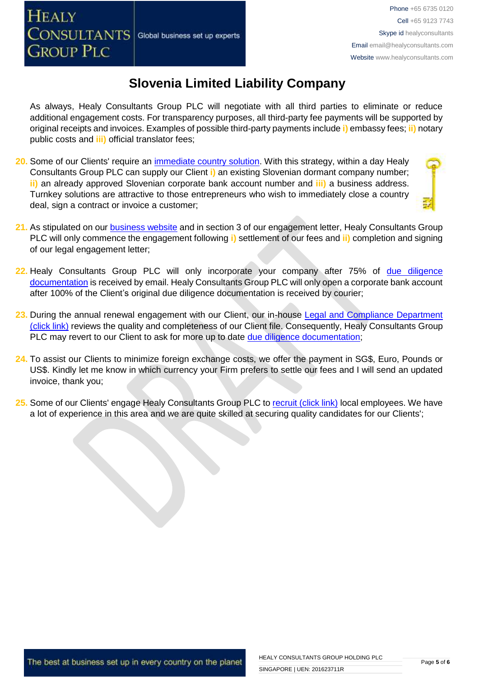As always, Healy Consultants Group PLC will negotiate with all third parties to eliminate or reduce additional engagement costs. For transparency purposes, all third-party fee payments will be supported by original receipts and invoices. Examples of possible third-party payments include **i)** embassy fees; **ii)** notary public costs and **iii)** official translator fees;

- **20.** Some of our Clients' require an [immediate country solution.](http://www.healyconsultants.com/turnkey-solutions/) With this strategy, within a day Healy Consultants Group PLC can supply our Client **i)** an existing Slovenian dormant company number; **ii)** an already approved Slovenian corporate bank account number and **iii)** a business address. Turnkey solutions are attractive to those entrepreneurs who wish to immediately close a country deal, sign a contract or invoice a customer;
- **21.** As stipulated on our [business website](http://www.healyconsultants.com/) and in section 3 of our engagement letter, Healy Consultants Group PLC will only commence the engagement following **i)** settlement of our fees and **ii)** completion and signing of our legal engagement letter;
- **22.** Healy Consultants Group PLC will only incorporate your company after 75% of [due diligence](http://www.healyconsultants.com/due-diligence/)  [documentation](http://www.healyconsultants.com/due-diligence/) is received by email. Healy Consultants Group PLC will only open a corporate bank account after 100% of the Client's original due diligence documentation is received by courier;
- 23. During the annual renewal engagement with our Client, our in-house Legal and Compliance Department [\(click link\)](http://www.healyconsultants.com/about-us/key-personnel/cai-xin-profile/) reviews the quality and completeness of our Client file. Consequently, Healy Consultants Group PLC may revert to our Client to ask for more up to date [due diligence documentation;](http://www.healyconsultants.com/due-diligence/)
- **24.** To assist our Clients to minimize foreign exchange costs, we offer the payment in SG\$, Euro, Pounds or US\$. Kindly let me know in which currency your Firm prefers to settle our fees and I will send an updated invoice, thank you;
- 25. Some of our Clients' engage Healy Consultants Group PLC t[o recruit \(click link\)](http://www.healyconsultants.com/corporate-outsourcing-services/how-we-help-our-clients-recruit-quality-employees/) local employees. We have a lot of experience in this area and we are quite skilled at securing quality candidates for our Clients';